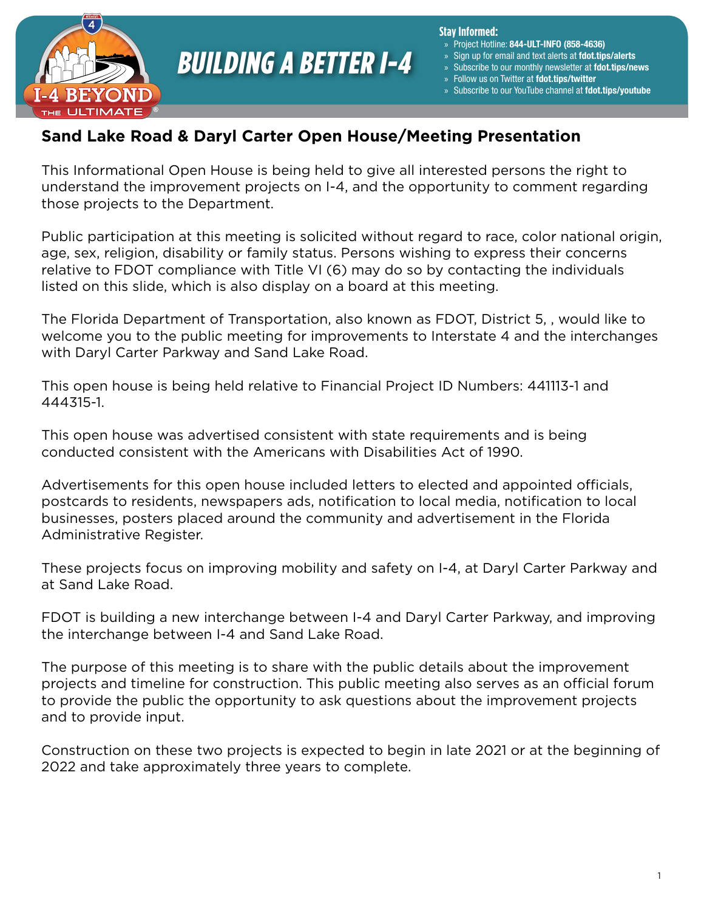

**Stay Informed:**

- » Project Hotline: 844-ULT-INFO (858-4636)
- Sign up for email and text alerts at fdot.tips/alerts
- Subscribe to our monthly newsletter at fdot.tips/news
- Follow us on Twitter at fdot.tips/twitter
- Subscribe to our YouTube channel at fdot.tips/youtube

### **Sand Lake Road & Daryl Carter Open House/Meeting Presentation**

This Informational Open House is being held to give all interested persons the right to understand the improvement projects on I-4, and the opportunity to comment regarding those projects to the Department.

Public participation at this meeting is solicited without regard to race, color national origin, age, sex, religion, disability or family status. Persons wishing to express their concerns relative to FDOT compliance with Title VI (6) may do so by contacting the individuals listed on this slide, which is also display on a board at this meeting.

The Florida Department of Transportation, also known as FDOT, District 5, , would like to welcome you to the public meeting for improvements to Interstate 4 and the interchanges with Daryl Carter Parkway and Sand Lake Road.

This open house is being held relative to Financial Project ID Numbers: 441113-1 and 444315-1.

This open house was advertised consistent with state requirements and is being conducted consistent with the Americans with Disabilities Act of 1990.

Advertisements for this open house included letters to elected and appointed officials, postcards to residents, newspapers ads, notification to local media, notification to local businesses, posters placed around the community and advertisement in the Florida Administrative Register.

These projects focus on improving mobility and safety on I-4, at Daryl Carter Parkway and at Sand Lake Road.

FDOT is building a new interchange between I-4 and Daryl Carter Parkway, and improving the interchange between I-4 and Sand Lake Road.

The purpose of this meeting is to share with the public details about the improvement projects and timeline for construction. This public meeting also serves as an official forum to provide the public the opportunity to ask questions about the improvement projects and to provide input.

Construction on these two projects is expected to begin in late 2021 or at the beginning of 2022 and take approximately three years to complete.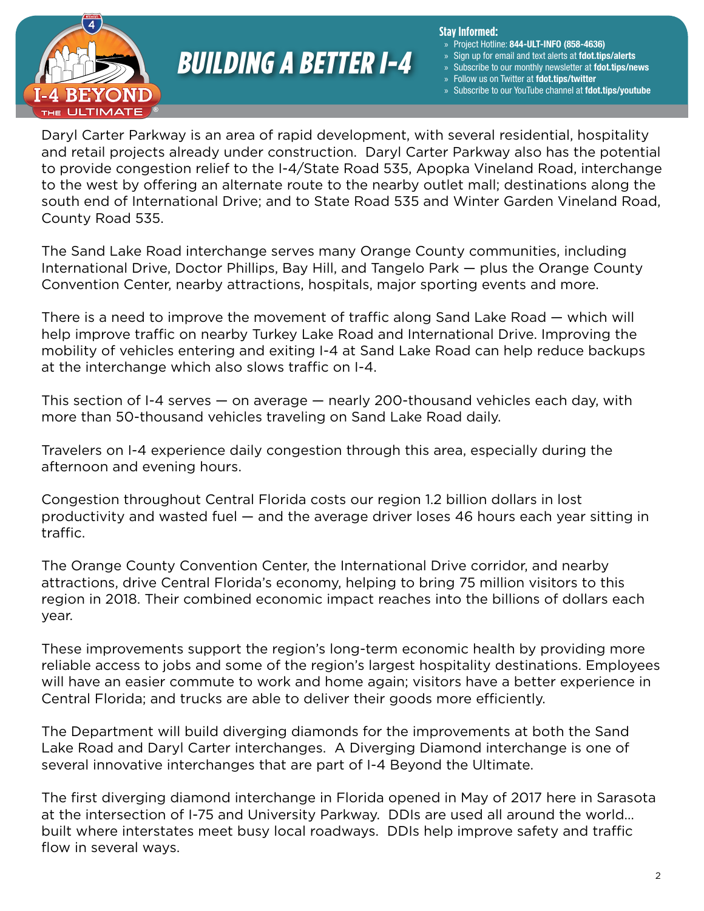

#### **Stay Informed:**

- » Project Hotline: 844-ULT-INFO (858-4636)
- Sign up for email and text alerts at fdot.tips/alerts
- Subscribe to our monthly newsletter at fdot.tips/news
- Follow us on Twitter at fdot.tips/twitter
- Subscribe to our YouTube channel at fdot.tips/youtube

Daryl Carter Parkway is an area of rapid development, with several residential, hospitality and retail projects already under construction. Daryl Carter Parkway also has the potential to provide congestion relief to the I-4/State Road 535, Apopka Vineland Road, interchange to the west by offering an alternate route to the nearby outlet mall; destinations along the south end of International Drive; and to State Road 535 and Winter Garden Vineland Road, County Road 535.

The Sand Lake Road interchange serves many Orange County communities, including International Drive, Doctor Phillips, Bay Hill, and Tangelo Park — plus the Orange County Convention Center, nearby attractions, hospitals, major sporting events and more.

There is a need to improve the movement of traffic along Sand Lake Road — which will help improve traffic on nearby Turkey Lake Road and International Drive. Improving the mobility of vehicles entering and exiting I-4 at Sand Lake Road can help reduce backups at the interchange which also slows traffic on I-4.

This section of I-4 serves — on average — nearly 200-thousand vehicles each day, with more than 50-thousand vehicles traveling on Sand Lake Road daily.

Travelers on I-4 experience daily congestion through this area, especially during the afternoon and evening hours.

Congestion throughout Central Florida costs our region 1.2 billion dollars in lost productivity and wasted fuel — and the average driver loses 46 hours each year sitting in traffic.

The Orange County Convention Center, the International Drive corridor, and nearby attractions, drive Central Florida's economy, helping to bring 75 million visitors to this region in 2018. Their combined economic impact reaches into the billions of dollars each year.

These improvements support the region's long-term economic health by providing more reliable access to jobs and some of the region's largest hospitality destinations. Employees will have an easier commute to work and home again; visitors have a better experience in Central Florida; and trucks are able to deliver their goods more efficiently.

The Department will build diverging diamonds for the improvements at both the Sand Lake Road and Daryl Carter interchanges. A Diverging Diamond interchange is one of several innovative interchanges that are part of I-4 Beyond the Ultimate.

The first diverging diamond interchange in Florida opened in May of 2017 here in Sarasota at the intersection of I-75 and University Parkway. DDIs are used all around the world… built where interstates meet busy local roadways. DDIs help improve safety and traffic flow in several ways.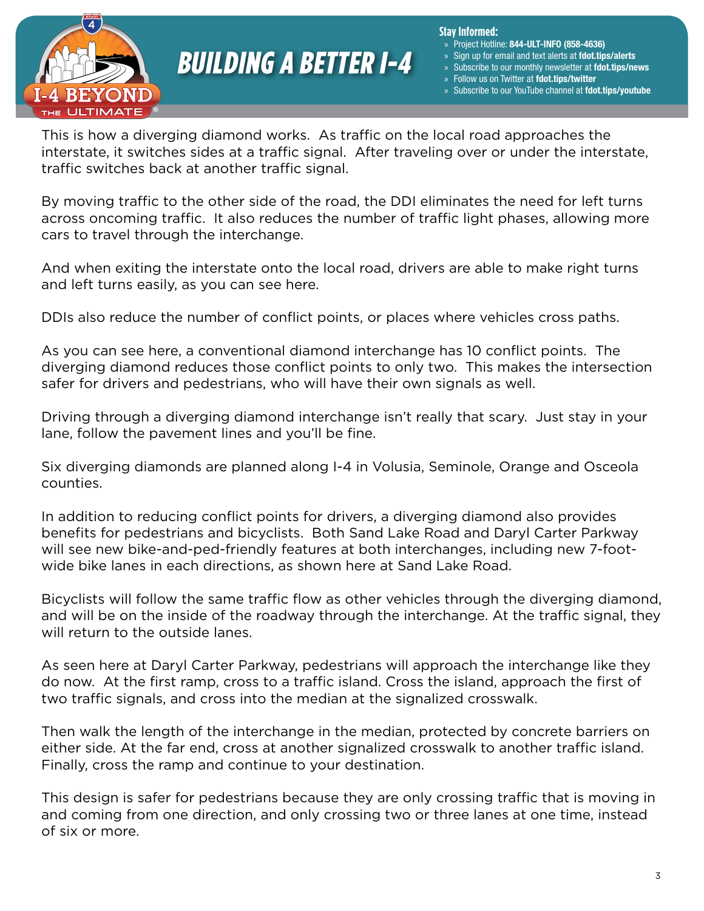

**Stay Informed:**

- » Project Hotline: 844-ULT-INFO (858-4636)
- Sign up for email and text alerts at fdot.tips/alerts
- Subscribe to our monthly newsletter at fdot.tips/news
- Follow us on Twitter at fdot.tips/twitter
- Subscribe to our YouTube channel at fdot.tips/youtube

This is how a diverging diamond works. As traffic on the local road approaches the interstate, it switches sides at a traffic signal. After traveling over or under the interstate, traffic switches back at another traffic signal.

By moving traffic to the other side of the road, the DDI eliminates the need for left turns across oncoming traffic. It also reduces the number of traffic light phases, allowing more cars to travel through the interchange.

And when exiting the interstate onto the local road, drivers are able to make right turns and left turns easily, as you can see here.

DDIs also reduce the number of conflict points, or places where vehicles cross paths.

As you can see here, a conventional diamond interchange has 10 conflict points. The diverging diamond reduces those conflict points to only two. This makes the intersection safer for drivers and pedestrians, who will have their own signals as well.

Driving through a diverging diamond interchange isn't really that scary. Just stay in your lane, follow the pavement lines and you'll be fine.

Six diverging diamonds are planned along I-4 in Volusia, Seminole, Orange and Osceola counties.

In addition to reducing conflict points for drivers, a diverging diamond also provides benefits for pedestrians and bicyclists. Both Sand Lake Road and Daryl Carter Parkway will see new bike-and-ped-friendly features at both interchanges, including new 7-footwide bike lanes in each directions, as shown here at Sand Lake Road.

Bicyclists will follow the same traffic flow as other vehicles through the diverging diamond, and will be on the inside of the roadway through the interchange. At the traffic signal, they will return to the outside lanes.

As seen here at Daryl Carter Parkway, pedestrians will approach the interchange like they do now. At the first ramp, cross to a traffic island. Cross the island, approach the first of two traffic signals, and cross into the median at the signalized crosswalk.

Then walk the length of the interchange in the median, protected by concrete barriers on either side. At the far end, cross at another signalized crosswalk to another traffic island. Finally, cross the ramp and continue to your destination.

This design is safer for pedestrians because they are only crossing traffic that is moving in and coming from one direction, and only crossing two or three lanes at one time, instead of six or more.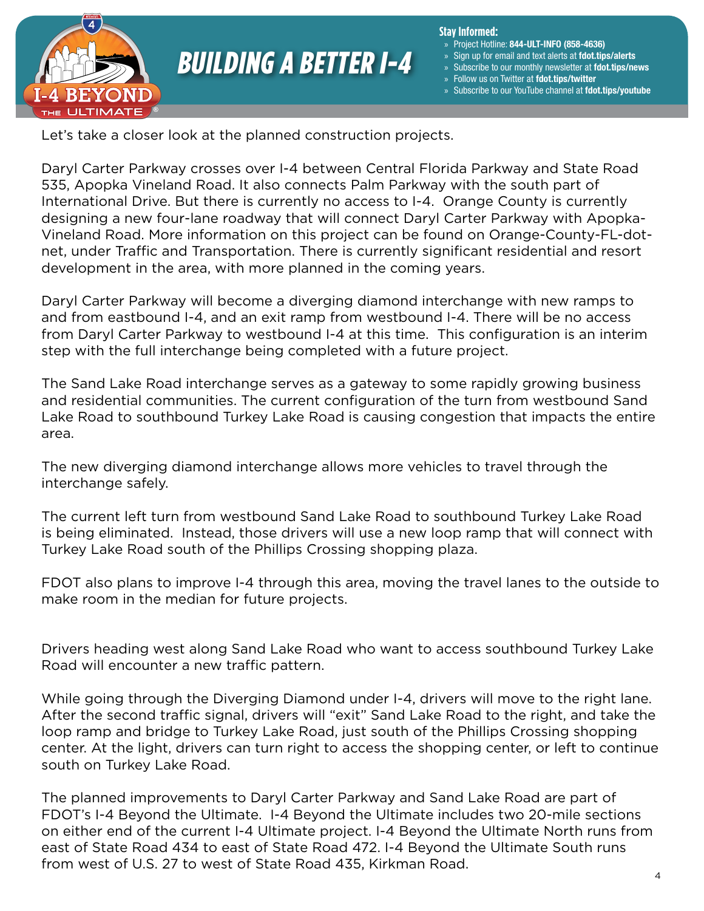

#### **Stay Informed:**

- » Project Hotline: 844-ULT-INFO (858-4636)
- Sign up for email and text alerts at fdot.tips/alerts
- Subscribe to our monthly newsletter at fdot.tips/news
- » Follow us on Twitter at fdot.tips/twitter
- Subscribe to our YouTube channel at fdot.tips/youtube

Let's take a closer look at the planned construction projects.

Daryl Carter Parkway crosses over I-4 between Central Florida Parkway and State Road 535, Apopka Vineland Road. It also connects Palm Parkway with the south part of International Drive. But there is currently no access to I-4. Orange County is currently designing a new four-lane roadway that will connect Daryl Carter Parkway with Apopka-Vineland Road. More information on this project can be found on Orange-County-FL-dotnet, under Traffic and Transportation. There is currently significant residential and resort development in the area, with more planned in the coming years.

Daryl Carter Parkway will become a diverging diamond interchange with new ramps to and from eastbound I-4, and an exit ramp from westbound I-4. There will be no access from Daryl Carter Parkway to westbound I-4 at this time. This configuration is an interim step with the full interchange being completed with a future project.

The Sand Lake Road interchange serves as a gateway to some rapidly growing business and residential communities. The current configuration of the turn from westbound Sand Lake Road to southbound Turkey Lake Road is causing congestion that impacts the entire area.

The new diverging diamond interchange allows more vehicles to travel through the interchange safely.

The current left turn from westbound Sand Lake Road to southbound Turkey Lake Road is being eliminated. Instead, those drivers will use a new loop ramp that will connect with Turkey Lake Road south of the Phillips Crossing shopping plaza.

FDOT also plans to improve I-4 through this area, moving the travel lanes to the outside to make room in the median for future projects.

Drivers heading west along Sand Lake Road who want to access southbound Turkey Lake Road will encounter a new traffic pattern.

While going through the Diverging Diamond under I-4, drivers will move to the right lane. After the second traffic signal, drivers will "exit" Sand Lake Road to the right, and take the loop ramp and bridge to Turkey Lake Road, just south of the Phillips Crossing shopping center. At the light, drivers can turn right to access the shopping center, or left to continue south on Turkey Lake Road.

The planned improvements to Daryl Carter Parkway and Sand Lake Road are part of FDOT's I-4 Beyond the Ultimate. I-4 Beyond the Ultimate includes two 20-mile sections on either end of the current I-4 Ultimate project. I-4 Beyond the Ultimate North runs from east of State Road 434 to east of State Road 472. I-4 Beyond the Ultimate South runs from west of U.S. 27 to west of State Road 435, Kirkman Road.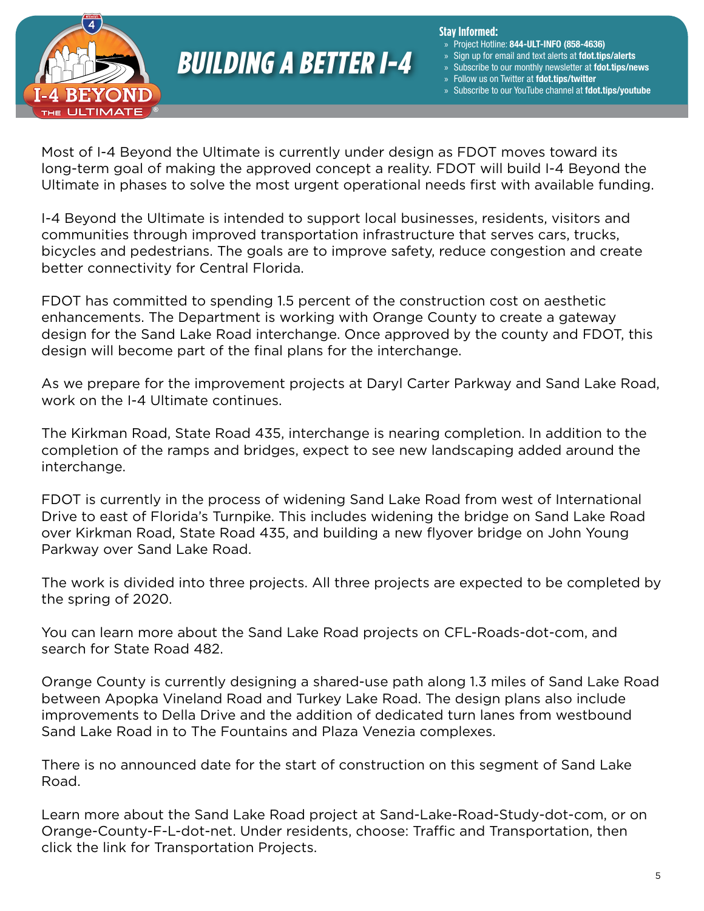

#### **Stay Informed:**

- » Project Hotline: 844-ULT-INFO (858-4636)
- Sign up for email and text alerts at fdot.tips/alerts
- Subscribe to our monthly newsletter at fdot.tips/news
- Follow us on Twitter at fdot.tips/twitter
- Subscribe to our YouTube channel at fdot.tips/youtube

Most of I-4 Beyond the Ultimate is currently under design as FDOT moves toward its long-term goal of making the approved concept a reality. FDOT will build I-4 Beyond the Ultimate in phases to solve the most urgent operational needs first with available funding.

I-4 Beyond the Ultimate is intended to support local businesses, residents, visitors and communities through improved transportation infrastructure that serves cars, trucks, bicycles and pedestrians. The goals are to improve safety, reduce congestion and create better connectivity for Central Florida.

FDOT has committed to spending 1.5 percent of the construction cost on aesthetic enhancements. The Department is working with Orange County to create a gateway design for the Sand Lake Road interchange. Once approved by the county and FDOT, this design will become part of the final plans for the interchange.

As we prepare for the improvement projects at Daryl Carter Parkway and Sand Lake Road, work on the I-4 Ultimate continues.

The Kirkman Road, State Road 435, interchange is nearing completion. In addition to the completion of the ramps and bridges, expect to see new landscaping added around the interchange.

FDOT is currently in the process of widening Sand Lake Road from west of International Drive to east of Florida's Turnpike. This includes widening the bridge on Sand Lake Road over Kirkman Road, State Road 435, and building a new flyover bridge on John Young Parkway over Sand Lake Road.

The work is divided into three projects. All three projects are expected to be completed by the spring of 2020.

You can learn more about the Sand Lake Road projects on CFL-Roads-dot-com, and search for State Road 482.

Orange County is currently designing a shared-use path along 1.3 miles of Sand Lake Road between Apopka Vineland Road and Turkey Lake Road. The design plans also include improvements to Della Drive and the addition of dedicated turn lanes from westbound Sand Lake Road in to The Fountains and Plaza Venezia complexes.

There is no announced date for the start of construction on this segment of Sand Lake Road.

Learn more about the Sand Lake Road project at Sand-Lake-Road-Study-dot-com, or on Orange-County-F-L-dot-net. Under residents, choose: Traffic and Transportation, then click the link for Transportation Projects.